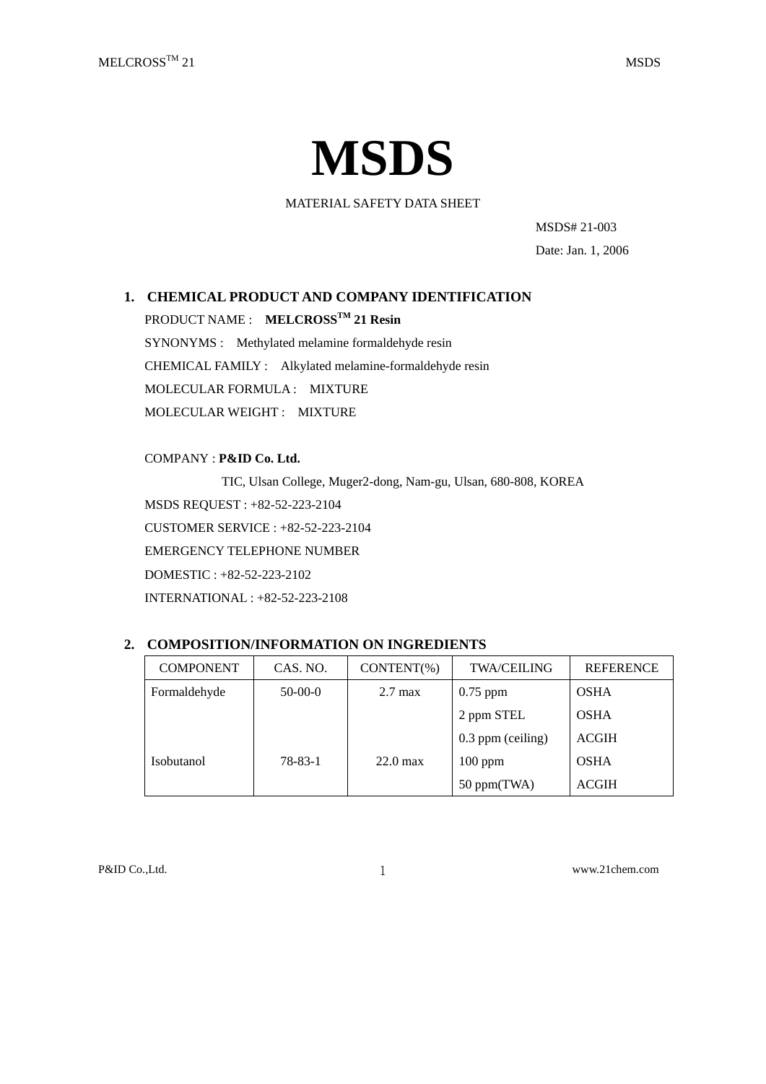# **MSDS**

MATERIAL SAFETY DATA SHEET

MSDS# 21-003 Date: Jan. 1, 2006

# **1. CHEMICAL PRODUCT AND COMPANY IDENTIFICATION**

PRODUCT NAME : **MELCROSSTM 21 Resin**

SYNONYMS : Methylated melamine formaldehyde resin CHEMICAL FAMILY : Alkylated melamine-formaldehyde resin MOLECULAR FORMULA : MIXTURE MOLECULAR WEIGHT : MIXTURE

COMPANY : **P&ID Co. Ltd.**

TIC, Ulsan College, Muger2-dong, Nam-gu, Ulsan, 680-808, KOREA MSDS REQUEST : +82-52-223-2104 CUSTOMER SERVICE : +82-52-223-2104 EMERGENCY TELEPHONE NUMBER DOMESTIC : +82-52-223-2102 INTERNATIONAL : +82-52-223-2108

# **2. COMPOSITION/INFORMATION ON INGREDIENTS**

| <b>COMPONENT</b>  | CAS. NO.      | $CONTENT(\%)$      | <b>TWA/CEILING</b> | <b>REFERENCE</b> |
|-------------------|---------------|--------------------|--------------------|------------------|
| Formaldehyde      | $50-00-0$     | $2.7 \text{ max}$  | $0.75$ ppm         | <b>OSHA</b>      |
|                   |               |                    | 2 ppm STEL         | <b>OSHA</b>      |
|                   |               |                    | 0.3 ppm (ceiling)  | <b>ACGIH</b>     |
| <b>Isobutanol</b> | $78 - 83 - 1$ | $22.0 \text{ max}$ | $100$ ppm          | <b>OSHA</b>      |
|                   |               |                    | $50$ ppm(TWA)      | <b>ACGIH</b>     |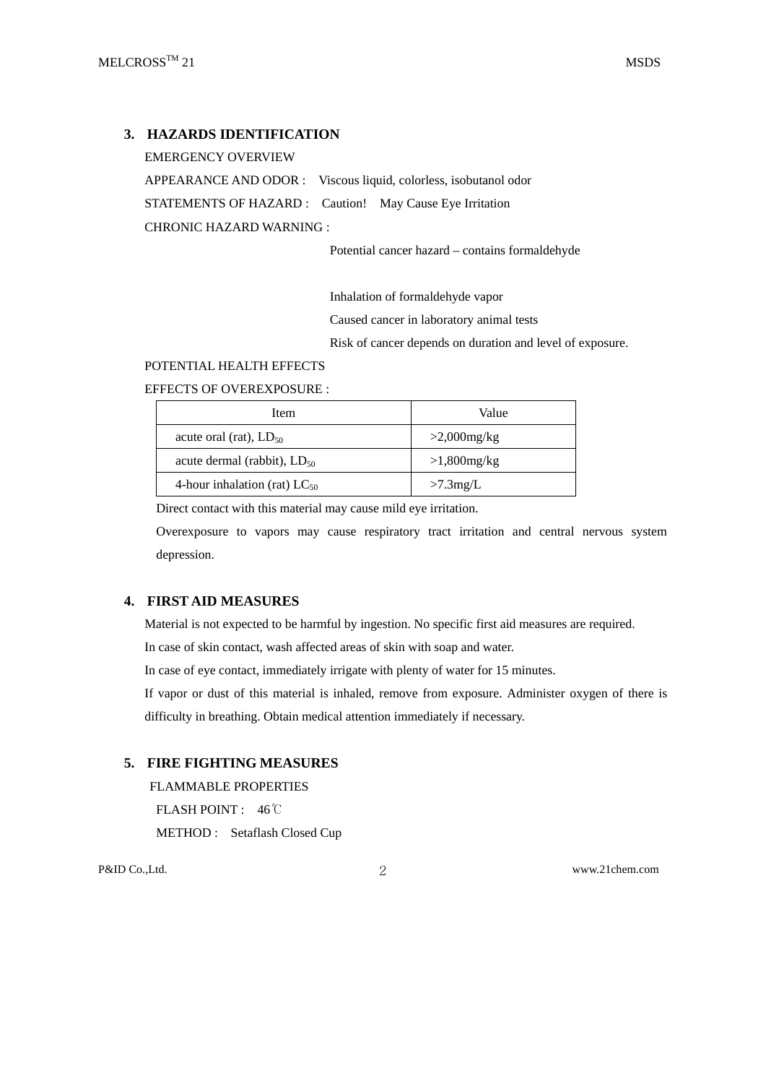## **3. HAZARDS IDENTIFICATION**

EMERGENCY OVERVIEW APPEARANCE AND ODOR : Viscous liquid, colorless, isobutanol odor STATEMENTS OF HAZARD : Caution! May Cause Eye Irritation CHRONIC HAZARD WARNING :

Potential cancer hazard – contains formaldehyde

Inhalation of formaldehyde vapor

Caused cancer in laboratory animal tests

Risk of cancer depends on duration and level of exposure.

## POTENTIAL HEALTH EFFECTS

EFFECTS OF OVEREXPOSURE :

| Item                              | Value          |  |
|-----------------------------------|----------------|--|
| acute oral (rat), $LD_{50}$       | $>2,000$ mg/kg |  |
| acute dermal (rabbit), $LD_{50}$  | $>1,800$ mg/kg |  |
| 4-hour inhalation (rat) $LC_{50}$ | $>7.3$ mg/L    |  |

Direct contact with this material may cause mild eye irritation.

Overexposure to vapors may cause respiratory tract irritation and central nervous system depression.

## **4. FIRST AID MEASURES**

Material is not expected to be harmful by ingestion. No specific first aid measures are required.

In case of skin contact, wash affected areas of skin with soap and water.

In case of eye contact, immediately irrigate with plenty of water for 15 minutes.

If vapor or dust of this material is inhaled, remove from exposure. Administer oxygen of there is difficulty in breathing. Obtain medical attention immediately if necessary.

## **5. FIRE FIGHTING MEASURES**

FLAMMABLE PROPERTIES

FLASH POINT : 46℃

METHOD : Setaflash Closed Cup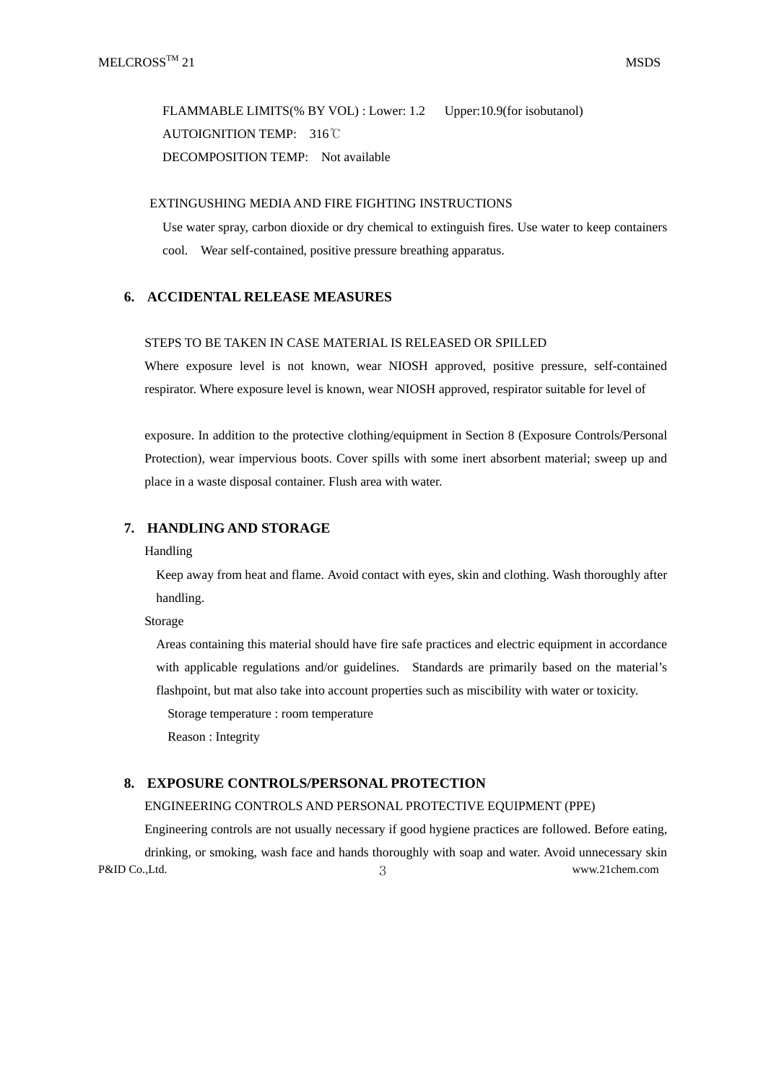FLAMMABLE LIMITS(% BY VOL) : Lower: 1.2 Upper:10.9(for isobutanol) AUTOIGNITION TEMP: 316℃ DECOMPOSITION TEMP: Not available

## EXTINGUSHING MEDIA AND FIRE FIGHTING INSTRUCTIONS

Use water spray, carbon dioxide or dry chemical to extinguish fires. Use water to keep containers cool. Wear self-contained, positive pressure breathing apparatus.

## **6. ACCIDENTAL RELEASE MEASURES**

#### STEPS TO BE TAKEN IN CASE MATERIAL IS RELEASED OR SPILLED

Where exposure level is not known, wear NIOSH approved, positive pressure, self-contained respirator. Where exposure level is known, wear NIOSH approved, respirator suitable for level of

exposure. In addition to the protective clothing/equipment in Section 8 (Exposure Controls/Personal Protection), wear impervious boots. Cover spills with some inert absorbent material; sweep up and place in a waste disposal container. Flush area with water.

## **7. HANDLING AND STORAGE**

#### Handling

Keep away from heat and flame. Avoid contact with eyes, skin and clothing. Wash thoroughly after handling.

Storage

Areas containing this material should have fire safe practices and electric equipment in accordance with applicable regulations and/or guidelines. Standards are primarily based on the material's flashpoint, but mat also take into account properties such as miscibility with water or toxicity.

Storage temperature : room temperature

Reason : Integrity

#### **8. EXPOSURE CONTROLS/PERSONAL PROTECTION**

#### ENGINEERING CONTROLS AND PERSONAL PROTECTIVE EQUIPMENT (PPE)

P&ID Co.,Ltd. 3<br>3 Engineering controls are not usually necessary if good hygiene practices are followed. Before eating, drinking, or smoking, wash face and hands thoroughly with soap and water. Avoid unnecessary skin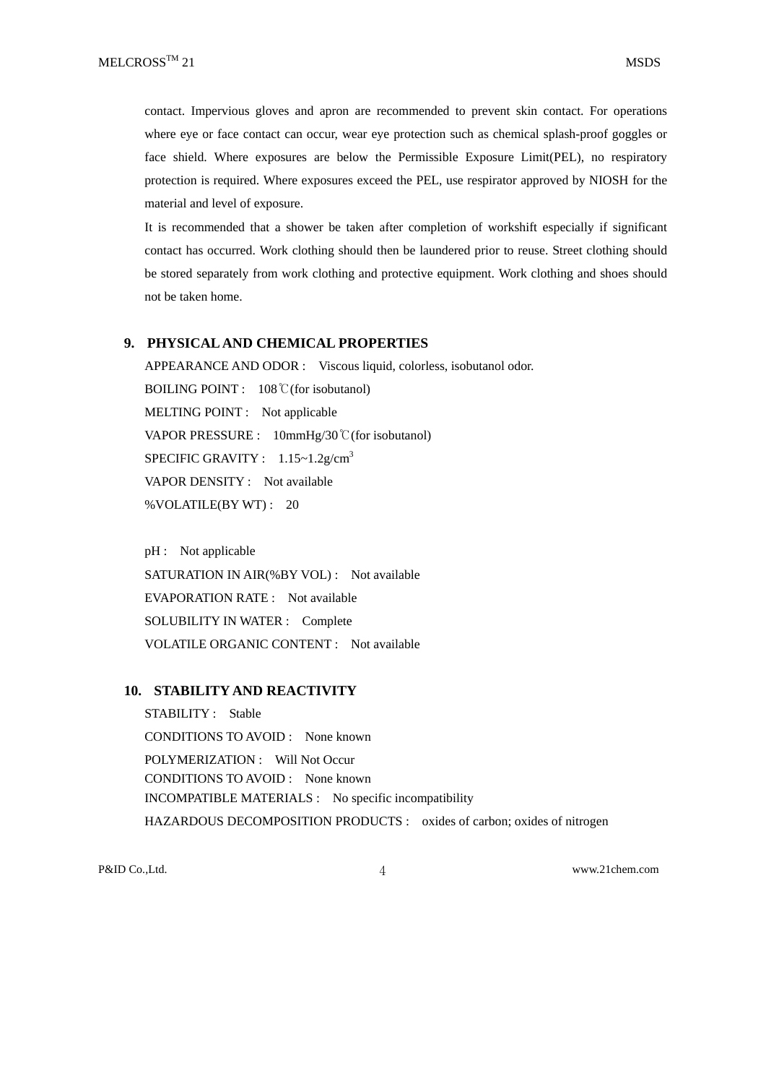contact. Impervious gloves and apron are recommended to prevent skin contact. For operations where eye or face contact can occur, wear eye protection such as chemical splash-proof goggles or face shield. Where exposures are below the Permissible Exposure Limit(PEL), no respiratory protection is required. Where exposures exceed the PEL, use respirator approved by NIOSH for the material and level of exposure.

It is recommended that a shower be taken after completion of workshift especially if significant contact has occurred. Work clothing should then be laundered prior to reuse. Street clothing should be stored separately from work clothing and protective equipment. Work clothing and shoes should not be taken home.

#### **9. PHYSICAL AND CHEMICAL PROPERTIES**

APPEARANCE AND ODOR : Viscous liquid, colorless, isobutanol odor. BOILING POINT : 108℃(for isobutanol) MELTING POINT : Not applicable VAPOR PRESSURE : 10mmHg/30℃(for isobutanol) SPECIFIC GRAVITY :  $1.15 \sim 1.2$ g/cm<sup>3</sup> VAPOR DENSITY : Not available %VOLATILE(BY WT) : 20

pH : Not applicable SATURATION IN AIR(%BY VOL) : Not available EVAPORATION RATE : Not available SOLUBILITY IN WATER : Complete VOLATILE ORGANIC CONTENT : Not available

#### **10. STABILITY AND REACTIVITY**

STABILITY : Stable CONDITIONS TO AVOID : None known POLYMERIZATION : Will Not Occur CONDITIONS TO AVOID : None known INCOMPATIBLE MATERIALS : No specific incompatibility HAZARDOUS DECOMPOSITION PRODUCTS : oxides of carbon; oxides of nitrogen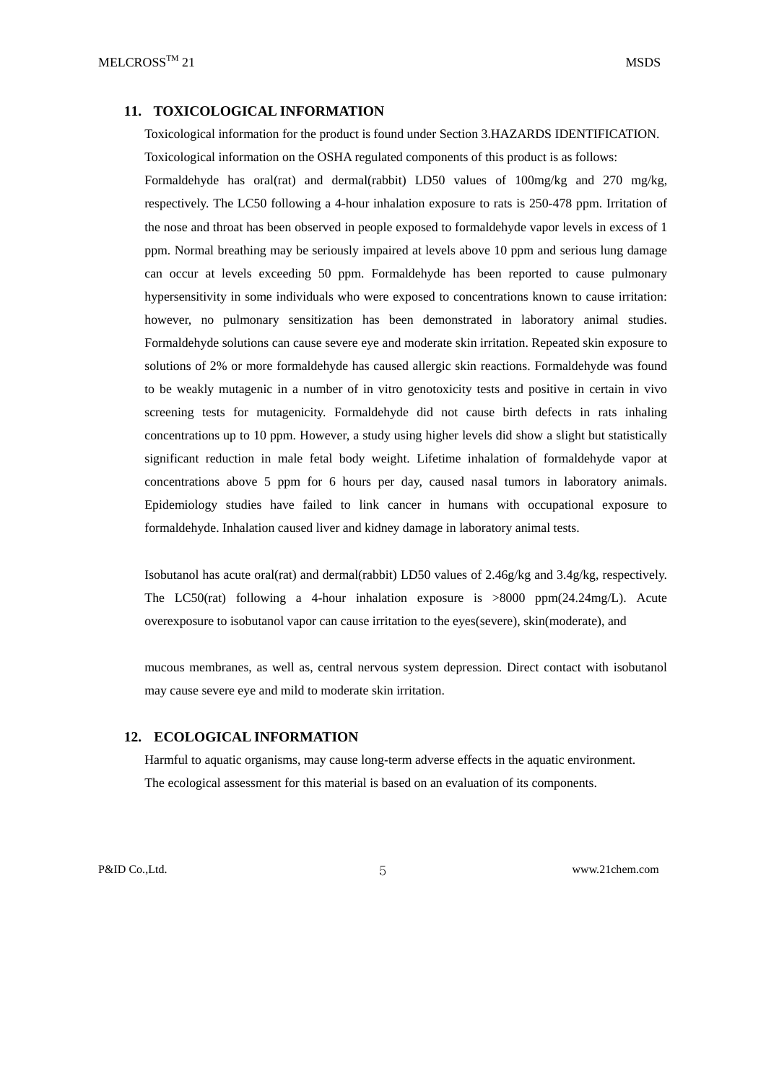#### **11. TOXICOLOGICAL INFORMATION**

Toxicological information for the product is found under Section 3.HAZARDS IDENTIFICATION. Toxicological information on the OSHA regulated components of this product is as follows:

Formaldehyde has oral(rat) and dermal(rabbit) LD50 values of 100mg/kg and 270 mg/kg, respectively. The LC50 following a 4-hour inhalation exposure to rats is 250-478 ppm. Irritation of the nose and throat has been observed in people exposed to formaldehyde vapor levels in excess of 1 ppm. Normal breathing may be seriously impaired at levels above 10 ppm and serious lung damage can occur at levels exceeding 50 ppm. Formaldehyde has been reported to cause pulmonary hypersensitivity in some individuals who were exposed to concentrations known to cause irritation: however, no pulmonary sensitization has been demonstrated in laboratory animal studies. Formaldehyde solutions can cause severe eye and moderate skin irritation. Repeated skin exposure to solutions of 2% or more formaldehyde has caused allergic skin reactions. Formaldehyde was found to be weakly mutagenic in a number of in vitro genotoxicity tests and positive in certain in vivo screening tests for mutagenicity. Formaldehyde did not cause birth defects in rats inhaling concentrations up to 10 ppm. However, a study using higher levels did show a slight but statistically significant reduction in male fetal body weight. Lifetime inhalation of formaldehyde vapor at concentrations above 5 ppm for 6 hours per day, caused nasal tumors in laboratory animals. Epidemiology studies have failed to link cancer in humans with occupational exposure to formaldehyde. Inhalation caused liver and kidney damage in laboratory animal tests.

Isobutanol has acute oral(rat) and dermal(rabbit) LD50 values of 2.46g/kg and 3.4g/kg, respectively. The LC50(rat) following a 4-hour inhalation exposure is >8000 ppm(24.24mg/L). Acute overexposure to isobutanol vapor can cause irritation to the eyes(severe), skin(moderate), and

mucous membranes, as well as, central nervous system depression. Direct contact with isobutanol may cause severe eye and mild to moderate skin irritation.

#### **12. ECOLOGICAL INFORMATION**

Harmful to aquatic organisms, may cause long-term adverse effects in the aquatic environment. The ecological assessment for this material is based on an evaluation of its components.

P&ID Co.,Ltd.  $\overline{5}$  www.21chem.com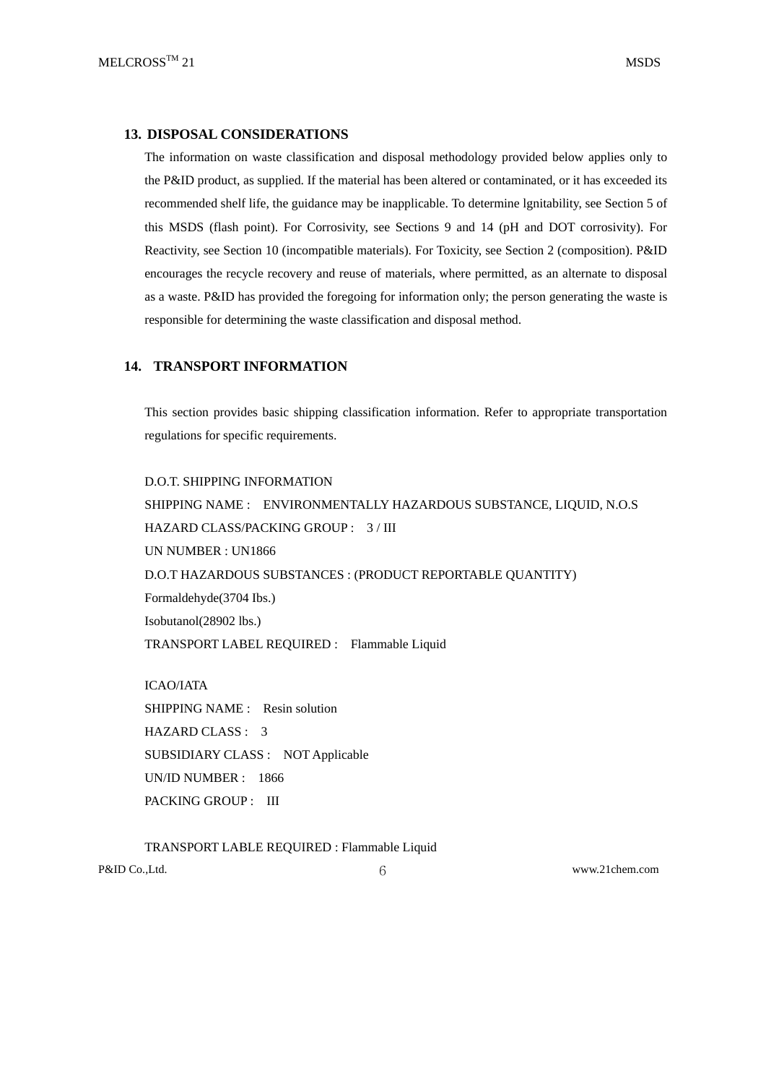## **13. DISPOSAL CONSIDERATIONS**

The information on waste classification and disposal methodology provided below applies only to the P&ID product, as supplied. If the material has been altered or contaminated, or it has exceeded its recommended shelf life, the guidance may be inapplicable. To determine lgnitability, see Section 5 of this MSDS (flash point). For Corrosivity, see Sections 9 and 14 (pH and DOT corrosivity). For Reactivity, see Section 10 (incompatible materials). For Toxicity, see Section 2 (composition). P&ID encourages the recycle recovery and reuse of materials, where permitted, as an alternate to disposal as a waste. P&ID has provided the foregoing for information only; the person generating the waste is responsible for determining the waste classification and disposal method.

# **14. TRANSPORT INFORMATION**

This section provides basic shipping classification information. Refer to appropriate transportation regulations for specific requirements.

D.O.T. SHIPPING INFORMATION SHIPPING NAME : ENVIRONMENTALLY HAZARDOUS SUBSTANCE, LIQUID, N.O.S HAZARD CLASS/PACKING GROUP : 3 / III UN NUMBER : UN1866 D.O.T HAZARDOUS SUBSTANCES : (PRODUCT REPORTABLE QUANTITY) Formaldehyde(3704 Ibs.) Isobutanol(28902 lbs.) TRANSPORT LABEL REQUIRED : Flammable Liquid

ICAO/IATA SHIPPING NAME : Resin solution HAZARD CLASS : 3 SUBSIDIARY CLASS : NOT Applicable UN/ID NUMBER : 1866 PACKING GROUP : III

P&ID Co.,Ltd. 6 1992 10 12 12 12 13 13 14 15 16 17 17 18: 10 12 12 13 13 14: 10 12 12 13 13 14: 10 12 13 14: 10 TRANSPORT LABLE REQUIRED : Flammable Liquid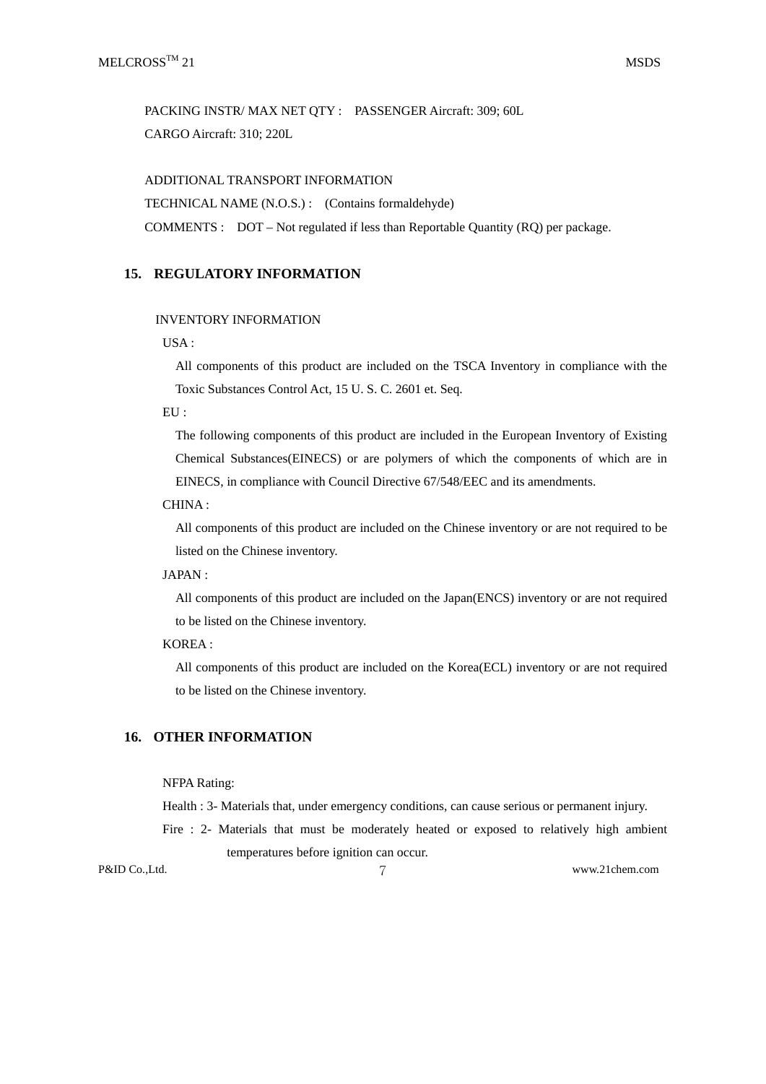PACKING INSTR/ MAX NET QTY : PASSENGER Aircraft: 309; 60L CARGO Aircraft: 310; 220L

ADDITIONAL TRANSPORT INFORMATION

TECHNICAL NAME (N.O.S.) : (Contains formaldehyde)

COMMENTS : DOT – Not regulated if less than Reportable Quantity (RQ) per package.

## **15. REGULATORY INFORMATION**

## INVENTORY INFORMATION

USA :

All components of this product are included on the TSCA Inventory in compliance with the Toxic Substances Control Act, 15 U. S. C. 2601 et. Seq.

EU :

The following components of this product are included in the European Inventory of Existing Chemical Substances(EINECS) or are polymers of which the components of which are in EINECS, in compliance with Council Directive 67/548/EEC and its amendments.

#### CHINA :

All components of this product are included on the Chinese inventory or are not required to be listed on the Chinese inventory.

#### JAPAN :

All components of this product are included on the Japan(ENCS) inventory or are not required to be listed on the Chinese inventory.

# KOREA :

All components of this product are included on the Korea(ECL) inventory or are not required to be listed on the Chinese inventory.

### **16. OTHER INFORMATION**

#### NFPA Rating:

Health : 3- Materials that, under emergency conditions, can cause serious or permanent injury.

Fire : 2- Materials that must be moderately heated or exposed to relatively high ambient temperatures before ignition can occur.